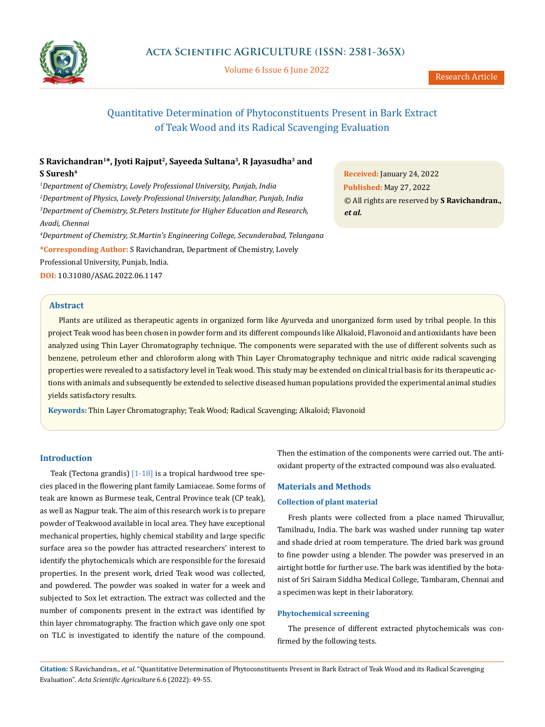

Volume 6 Issue 6 June 2022

# Quantitative Determination of Phytoconstituents Present in Bark Extract of Teak Wood and its Radical Scavenging Evaluation

# **S Ravichandran1\*, Jyoti Rajput2, Sayeeda Sultana3, R Jayasudha3 and S Suresh4**

 *Department of Chemistry, Lovely Professional University, Punjab, India Department of Physics, Lovely Professional University, Jalandhar, Punjab, India Department of Chemistry, St.Peters Institute for Higher Education and Research, Avadi, Chennai*

*4 Department of Chemistry, St.Martin's Engineering College, Secunderabad, Telangana* **\*Corresponding Author:** S Ravichandran, Department of Chemistry, Lovely Professional University, Punjab, India.

**DOI:** [10.31080/ASAG.2022.06.1147](https://actascientific.com/ASAG/pdf/ASAG-06-1147.pdf)

## **Abstract**

Plants are utilized as therapeutic agents in organized form like Ayurveda and unorganized form used by tribal people. In this project Teak wood has been chosen in powder form and its different compounds like Alkaloid, Flavonoid and antioxidants have been analyzed using Thin Layer Chromatography technique. The components were separated with the use of different solvents such as benzene, petroleum ether and chloroform along with Thin Layer Chromatography technique and nitric oxide radical scavenging properties were revealed to a satisfactory level in Teak wood. This study may be extended on clinical trial basis for its therapeutic actions with animals and subsequently be extended to selective diseased human populations provided the experimental animal studies yields satisfactory results.

**Keywords:** Thin Layer Chromatography; Teak Wood; Radical Scavenging; Alkaloid; Flavonoid

## **Introduction**

Teak (Tectona grandis)  $[1-18]$  is a [tropical](https://en.wikipedia.org/wiki/Tropics) [hardwood](https://en.wikipedia.org/wiki/Hardwood) tree species placed in the [flowering plant](https://en.wikipedia.org/wiki/Flowering_plant) family [Lamiaceae](https://en.wikipedia.org/wiki/Lamiaceae). Some [forms](https://en.wikipedia.org/wiki/Form_(botany)) of teak are known as Burmese teak, Central Province teak (CP teak), as well as Nagpur teak. The aim of this research work is to prepare powder of Teakwood available in local area. They have exceptional mechanical properties, highly chemical stability and large specific surface area so the powder has attracted researchers' interest to identify the phytochemicals which are responsible for the foresaid properties. In the present work, dried Teak wood was collected, and powdered. The powder was soaked in water for a week and subjected to Sox let extraction. The extract was collected and the number of components present in the extract was identified by thin layer chromatography. The fraction which gave only one spot on TLC is investigated to identify the nature of the compound. Then the estimation of the components were carried out. The antioxidant property of the extracted compound was also evaluated.

## **Materials and Methods**

#### **Collection of plant material**

Fresh plants were collected from a place named Thiruvallur, Tamilnadu, India. The bark was washed under running tap water and shade dried at room temperature. The dried bark was ground to fine powder using a blender. The powder was preserved in an airtight bottle for further use. The bark was identified by the botanist of Sri Sairam Siddha Medical College, Tambaram, Chennai and a specimen was kept in their laboratory.

#### **Phytochemical screening**

The presence of different extracted phytochemicals was confirmed by the following tests.

**Citation:** S Ravichandran., *et al*. "Quantitative Determination of Phytoconstituents Present in Bark Extract of Teak Wood and its Radical Scavenging Evaluation". *Acta Scientific Agriculture* 6.6 (2022): 49-55.

**Received:** January 24, 2022 **Published:** May 27, 2022 © All rights are reserved by **S Ravichandran.,**  *et al.*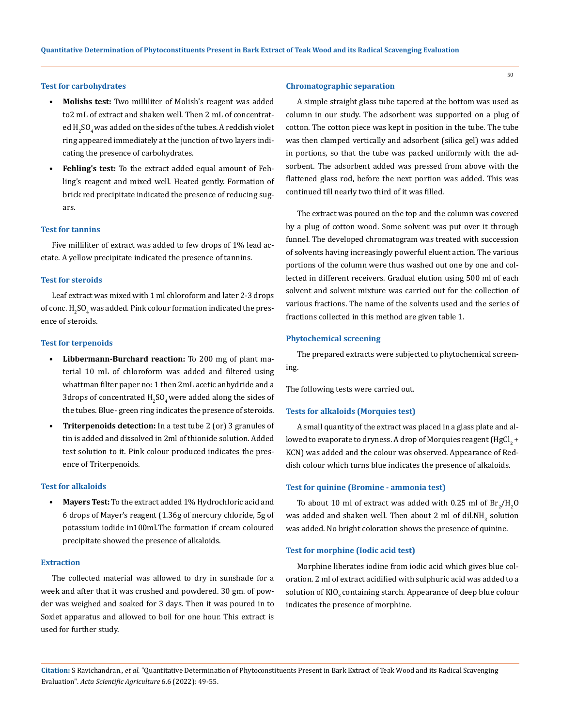## **Test for carbohydrates**

- **• Molishs test:** Two milliliter of Molish's reagent was added to2 mL of extract and shaken well. Then 2 mL of concentrated  $\rm H_2SO_4$  was added on the sides of the tubes. A reddish violet ring appeared immediately at the junction of two layers indicating the presence of carbohydrates.
- **• Fehling's test:** To the extract added equal amount of Fehling's reagent and mixed well. Heated gently. Formation of brick red precipitate indicated the presence of reducing sugars.

## **Test for tannins**

Five milliliter of extract was added to few drops of 1% lead acetate. A yellow precipitate indicated the presence of tannins.

#### **Test for steroids**

Leaf extract was mixed with 1 ml chloroform and later 2-3 drops of conc.  $\mathrm{H_2SO_4}$  was added. Pink colour formation indicated the presence of steroids.

## **Test for terpenoids**

- **• Libbermann-Burchard reaction:** To 200 mg of plant material 10 mL of chloroform was added and filtered using whattman filter paper no: 1 then 2mL acetic anhydride and a 3drops of concentrated  $\rm{H_2SO_4}$  were added along the sides of the tubes. Blue- green ring indicates the presence of steroids.
- **• Triterpenoids detection:** In a test tube 2 (or) 3 granules of tin is added and dissolved in 2ml of thionide solution. Added test solution to it. Pink colour produced indicates the presence of Triterpenoids.

#### **Test for alkaloids**

**• Mayers Test:** To the extract added 1% Hydrochloric acid and 6 drops of Mayer's reagent (1.36g of mercury chloride, 5g of potassium iodide in100ml.The formation if cream coloured precipitate showed the presence of alkaloids.

#### **Extraction**

The collected material was allowed to dry in sunshade for a week and after that it was crushed and powdered. 30 gm. of powder was weighed and soaked for 3 days. Then it was poured in to Soxlet apparatus and allowed to boil for one hour. This extract is used for further study.

#### **Chromatographic separation**

A simple straight glass tube tapered at the bottom was used as column in our study. The adsorbent was supported on a plug of cotton. The cotton piece was kept in position in the tube. The tube was then clamped vertically and adsorbent (silica gel) was added in portions, so that the tube was packed uniformly with the adsorbent. The adsorbent added was pressed from above with the flattened glass rod, before the next portion was added. This was continued till nearly two third of it was filled.

The extract was poured on the top and the column was covered by a plug of cotton wood. Some solvent was put over it through funnel. The developed chromatogram was treated with succession of solvents having increasingly powerful eluent action. The various portions of the column were thus washed out one by one and collected in different receivers. Gradual elution using 500 ml of each solvent and solvent mixture was carried out for the collection of various fractions. The name of the solvents used and the series of fractions collected in this method are given table 1.

## **Phytochemical screening**

The prepared extracts were subjected to phytochemical screening.

The following tests were carried out.

#### **Tests for alkaloids (Morquies test)**

A small quantity of the extract was placed in a glass plate and allowed to evaporate to dryness. A drop of Morquies reagent (HgCl $_2$  +  $\,$ KCN) was added and the colour was observed. Appearance of Reddish colour which turns blue indicates the presence of alkaloids.

### **Test for quinine (Bromine - ammonia test)**

To about 10 ml of extract was added with 0.25 ml of  $\text{Br}_2/\text{H}_2\text{O}$ was added and shaken well. Then about 2 ml of dil.NH<sub>3</sub> solution was added. No bright coloration shows the presence of quinine.

## **Test for morphine (Iodic acid test)**

Morphine liberates iodine from iodic acid which gives blue coloration. 2 ml of extract acidified with sulphuric acid was added to a solution of KlO<sub>3</sub> containing starch. Appearance of deep blue colour indicates the presence of morphine.

**Citation:** S Ravichandran., *et al*. "Quantitative Determination of Phytoconstituents Present in Bark Extract of Teak Wood and its Radical Scavenging Evaluation". *Acta Scientific Agriculture* 6.6 (2022): 49-55.

50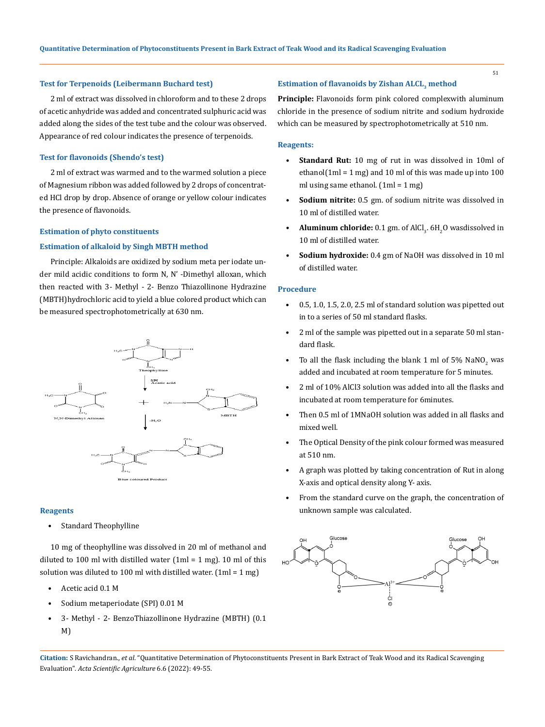#### 51

#### **Test for Terpenoids (Leibermann Buchard test)**

2 ml of extract was dissolved in chloroform and to these 2 drops of acetic anhydride was added and concentrated sulphuric acid was added along the sides of the test tube and the colour was observed. Appearance of red colour indicates the presence of terpenoids.

## **Test for flavonoids (Shendo's test)**

2 ml of extract was warmed and to the warmed solution a piece of Magnesium ribbon was added followed by 2 drops of concentrated HCl drop by drop. Absence of orange or yellow colour indicates the presence of flavonoids.

## **Estimation of phyto constituents**

## **Estimation of alkaloid by Singh MBTH method**

Principle: Alkaloids are oxidized by sodium meta per iodate under mild acidic conditions to form N, N' -Dimethyl alloxan, which then reacted with 3- Methyl - 2- Benzo Thiazollinone Hydrazine (MBTH)hydrochloric acid to yield a blue colored product which can be measured spectrophotometrically at 630 nm.



#### **Reagents**

Standard Theophylline

10 mg of theophylline was dissolved in 20 ml of methanol and diluted to 100 ml with distilled water  $(1ml = 1 mg)$ . 10 ml of this solution was diluted to 100 ml with distilled water.  $[1m] = 1 mg$ )

- Acetic acid 0.1 M
- Sodium metaperiodate (SPI) 0.01 M
- 3- Methyl 2- BenzoThiazollinone Hydrazine (MBTH) (0.1 M)

## **Estimation of flavanoids by Zishan ALCL3 method**

**Principle:** Flavonoids form pink colored complexwith aluminum chloride in the presence of sodium nitrite and sodium hydroxide which can be measured by spectrophotometrically at 510 nm.

## **Reagents:**

- **• Standard Rut:** 10 mg of rut in was dissolved in 10ml of ethanol(1ml = 1 mg) and 10 ml of this was made up into  $100$ ml using same ethanol.  $[1m] = 1 mg$
- **• Sodium nitrite:** 0.5 gm. of sodium nitrite was dissolved in 10 ml of distilled water.
- **Aluminum chloride:** 0.1 gm. of AlCl<sub>3</sub>. 6H<sub>2</sub>O wasdissolved in 10 ml of distilled water.
- **• Sodium hydroxide:** 0.4 gm of NaOH was dissolved in 10 ml of distilled water.

## **Procedure**

- 0.5, 1.0, 1.5, 2.0, 2.5 ml of standard solution was pipetted out in to a series of 50 ml standard flasks.
- 2 ml of the sample was pipetted out in a separate 50 ml standard flask.
- To all the flask including the blank 1 ml of 5%  $N$ a $N$ O<sub>2</sub> was added and incubated at room temperature for 5 minutes.
- 2 ml of 10% AlCl3 solution was added into all the flasks and incubated at room temperature for 6minutes.
- Then 0.5 ml of 1MNaOH solution was added in all flasks and mixed well.
- The Optical Density of the pink colour formed was measured at 510 nm.
- A graph was plotted by taking concentration of Rut in along X-axis and optical density along Y- axis.
- From the standard curve on the graph, the concentration of unknown sample was calculated.



**Citation:** S Ravichandran., *et al*. "Quantitative Determination of Phytoconstituents Present in Bark Extract of Teak Wood and its Radical Scavenging Evaluation". *Acta Scientific Agriculture* 6.6 (2022): 49-55.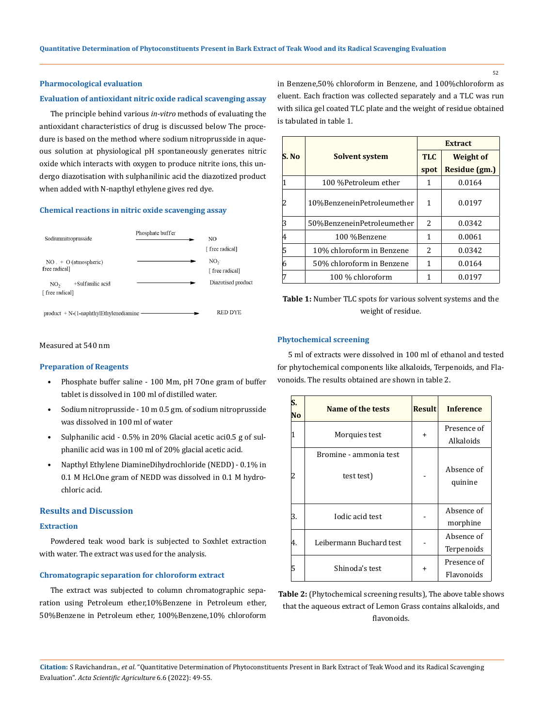#### **Pharmocological evaluation**

#### **Evaluation of antioxidant nitric oxide radical scavenging assay**

The principle behind various *in-vitro* methods of evaluating the antioxidant characteristics of drug is discussed below The procedure is based on the method where sodium nitroprusside in aqueous solution at physiological pH spontaneously generates nitric oxide which interacts with oxygen to produce nitrite ions, this undergo diazotisation with sulphanilinic acid the diazotized product when added with N-napthyl ethylene gives red dye.

#### **Chemical reactions in nitric oxide scavenging assay**



in Benzene,50% chloroform in Benzene, and 100%chloroform as eluent. Each fraction was collected separately and a TLC was run with silica gel coated TLC plate and the weight of residue obtained is tabulated in table 1.

|       |                            | <b>Extract</b> |                  |
|-------|----------------------------|----------------|------------------|
| S. No | <b>Solvent system</b>      | <b>TLC</b>     | <b>Weight of</b> |
|       |                            | spot           | Residue (gm.)    |
|       | 100 %Petroleum ether       | 1              | 0.0164           |
|       | 10%BenzeneinPetroleumether | 1              | 0.0197           |
|       | 50%BenzeneinPetroleumether | $\overline{2}$ | 0.0342           |
| 4     | 100 %Benzene               | 1              | 0.0061           |
| 5     | 10% chloroform in Benzene  | 2              | 0.0342           |
| 6     | 50% chloroform in Benzene  | 1              | 0.0164           |
|       | 100 % chloroform           |                | 0.0197           |

**Table 1:** Number TLC spots for various solvent systems and the weight of residue.

## **Phytochemical screening**

5 ml of extracts were dissolved in 100 ml of ethanol and tested for phytochemical components like alkaloids, Terpenoids, and Flavonoids. The results obtained are shown in table 2.

| No | Name of the tests                    | <b>Result</b> | <b>Inference</b>          |
|----|--------------------------------------|---------------|---------------------------|
|    | Morquies test                        | +             | Presence of<br>Alkaloids  |
|    | Bromine - ammonia test<br>test test) |               | Absence of<br>quinine     |
| З. | Iodic acid test                      |               | Absence of<br>morphine    |
| 4. | Leibermann Buchard test              |               | Absence of<br>Terpenoids  |
| 5  | Shinoda's test                       | ÷             | Presence of<br>Flavonoids |

**Table 2:** (Phytochemical screening results), The above table shows that the aqueous extract of Lemon Grass contains alkaloids, and flavonoids.

## Measured at 540 nm

#### **Preparation of Reagents**

- Phosphate buffer saline 100 Mm, pH 7One gram of buffer tablet is dissolved in 100 ml of distilled water.
- Sodium nitroprusside 10 m 0.5 gm. of sodium nitroprusside was dissolved in 100 ml of water
- Sulphanilic acid 0.5% in 20% Glacial acetic aci0.5 g of sulphanilic acid was in 100 ml of 20% glacial acetic acid.
- Napthyl Ethylene DiamineDihydrochloride (NEDD) 0.1% in 0.1 M Hcl.One gram of NEDD was dissolved in 0.1 M hydrochloric acid.

## **Results and Discussion**

## **Extraction**

Powdered teak wood bark is subjected to Soxhlet extraction with water. The extract was used for the analysis.

## **Chromatograpic separation for chloroform extract**

The extract was subjected to column chromatographic separation using Petroleum ether,10%Benzene in Petroleum ether, 50%Benzene in Petroleum ether, 100%Benzene,10% chloroform

**Citation:** S Ravichandran., *et al*. "Quantitative Determination of Phytoconstituents Present in Bark Extract of Teak Wood and its Radical Scavenging Evaluation". *Acta Scientific Agriculture* 6.6 (2022): 49-55.

52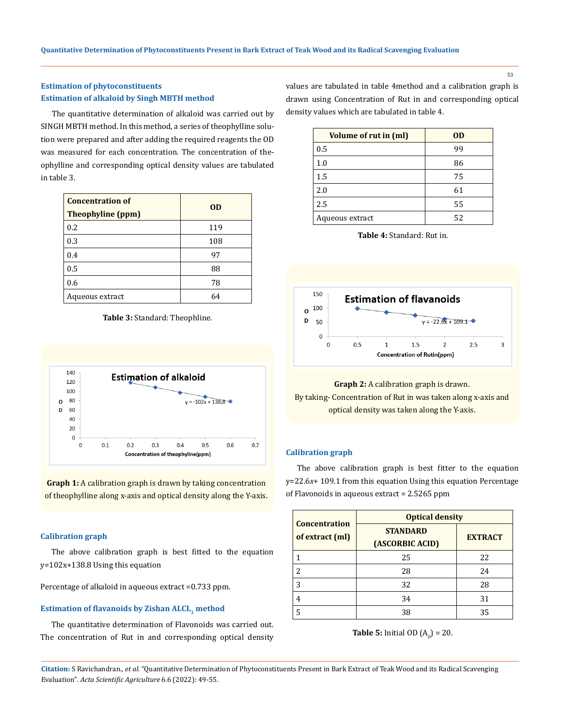53

# **Estimation of phytoconstituents Estimation of alkaloid by Singh MBTH method**

The quantitative determination of alkaloid was carried out by SINGH MBTH method. In this method, a series of theophylline solution were prepared and after adding the required reagents the OD was measured for each concentration. The concentration of theophylline and corresponding optical density values are tabulated in table 3.

| <b>Concentration of</b><br><b>Theophyline (ppm)</b> | OD  |
|-----------------------------------------------------|-----|
| 0.2                                                 | 119 |
| 0.3                                                 | 108 |
| 0.4                                                 | 97  |
| 0.5                                                 | 88  |
| 0.6                                                 | 78  |
| Aqueous extract                                     | 64  |

**Table 3:** Standard: Theophline.



**Graph 1:** A calibration graph is drawn by taking concentration of theophylline along x-axis and optical density along the Y-axis.

# **Calibration graph**

The above calibration graph is best fitted to the equation y=102x+138.8 Using this equation

Percentage of alkaloid in aqueous extract =0.733 ppm.

# **Estimation of flavanoids by Zishan ALCL3 method**

The quantitative determination of Flavonoids was carried out. The concentration of Rut in and corresponding optical density values are tabulated in table 4method and a calibration graph is drawn using Concentration of Rut in and corresponding optical density values which are tabulated in table 4.

| <b>Volume of rut in (ml)</b> | <b>OD</b> |
|------------------------------|-----------|
| 0.5                          | 99        |
| 1.0                          | 86        |
| 1.5                          | 75        |
| 2.0                          | 61        |
| 2.5                          | 55        |
| Aqueous extract              | 52        |

**Table 4:** Standard: Rut in.



# **Graph 2:** A calibration graph is drawn. By taking- Concentration of Rut in was taken along x-axis and optical density was taken along the Y-axis.

## **Calibration graph**

The above calibration graph is best fitter to the equation y=22.6*x*+ 109.1 from this equation Using this equation Percentage of Flavonoids in aqueous extract = 2.5265 ppm

| <b>Concentration</b>     | <b>Optical density</b>             |                |
|--------------------------|------------------------------------|----------------|
| of extract (ml)          | <b>STANDARD</b><br>(ASCORBIC ACID) | <b>EXTRACT</b> |
|                          | 25                                 | 22             |
| $\overline{\mathcal{L}}$ | 28                                 | 24             |
| 3                        | 32                                 | 28             |
| 4                        | 34                                 | 31             |
|                          | 38                                 | 35             |

**Table 5:** Initial OD  $(A_0) = 20$ .

**Citation:** S Ravichandran., *et al*. "Quantitative Determination of Phytoconstituents Present in Bark Extract of Teak Wood and its Radical Scavenging Evaluation". *Acta Scientific Agriculture* 6.6 (2022): 49-55.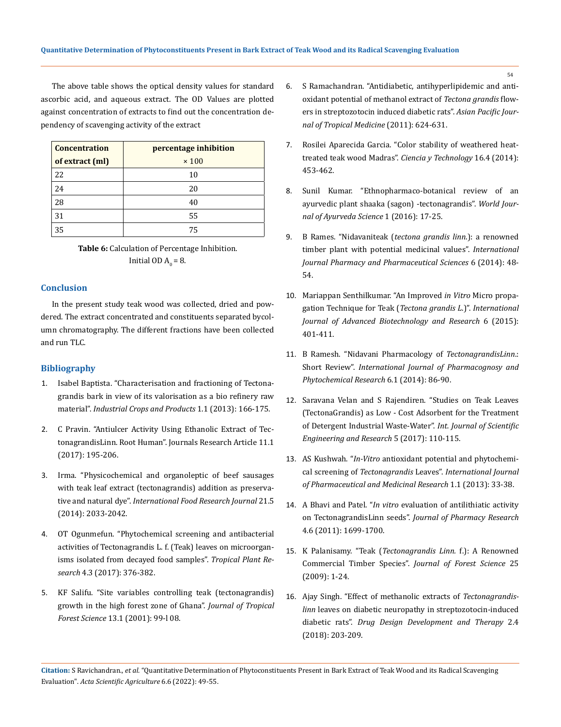The above table shows the optical density values for standard ascorbic acid, and aqueous extract. The OD Values are plotted against concentration of extracts to find out the concentration dependency of scavenging activity of the extract

| <b>Concentration</b> | percentage inhibition |
|----------------------|-----------------------|
| of extract (ml)      | $\times 100$          |
| 22                   | 10                    |
| 24                   | 20                    |
| 28                   | 40                    |
| 31                   | 55                    |
| 35                   | 75                    |

**Table 6:** Calculation of Percentage Inhibition. Initial OD  $A_0 = 8$ .

## **Conclusion**

In the present study teak wood was collected, dried and powdered. The extract concentrated and constituents separated bycolumn chromatography. The different fractions have been collected and run TLC.

# **Bibliography**

- 1. [Isabel Baptista. "Characterisation and fractioning of Tectona](https://www.sciencedirect.com/science/article/abs/pii/S0926669013003361)[grandis bark in view of its valorisation as a bio refinery raw](https://www.sciencedirect.com/science/article/abs/pii/S0926669013003361)  material". *[Industrial Crops and Products](https://www.sciencedirect.com/science/article/abs/pii/S0926669013003361)* 1.1 (2013): 166-175.
- 2. [C Pravin. "Antiulcer Activity Using Ethanolic Extract of Tec](https://www.researchgate.net/publication/322926005_Antiulcer_activity_using_ethanolic_extract_of_Tectona_garndis_Linn_Root)[tonagrandisLinn. Root Human". Journals Research Article 11.1](https://www.researchgate.net/publication/322926005_Antiulcer_activity_using_ethanolic_extract_of_Tectona_garndis_Linn_Root)  [\(2017\): 195-206.](https://www.researchgate.net/publication/322926005_Antiulcer_activity_using_ethanolic_extract_of_Tectona_garndis_Linn_Root)
- 3. Irma. "Physicochemical and organoleptic of beef sausages with teak leaf extract (tectonagrandis) addition as preservative and natural dye". *International Food Research Journal* 21.5 (2014): 2033-2042.
- 4. [OT Ogunmefun. "Phytochemical screening and antibacterial](https://www.researchgate.net/publication/320133747_Phytochemical_screening_and_antibacterial_activities_of_Tectona_grandis_L_f_Teak_leaves_on_microorganisms_isolated_from_decayed_food_samples)  [activities of Tectonagrandis L. f. \(Teak\) leaves on microorgan](https://www.researchgate.net/publication/320133747_Phytochemical_screening_and_antibacterial_activities_of_Tectona_grandis_L_f_Teak_leaves_on_microorganisms_isolated_from_decayed_food_samples)[isms isolated from decayed food samples".](https://www.researchgate.net/publication/320133747_Phytochemical_screening_and_antibacterial_activities_of_Tectona_grandis_L_f_Teak_leaves_on_microorganisms_isolated_from_decayed_food_samples) *Tropical Plant Research* [4.3 \(2017\): 376-382.](https://www.researchgate.net/publication/320133747_Phytochemical_screening_and_antibacterial_activities_of_Tectona_grandis_L_f_Teak_leaves_on_microorganisms_isolated_from_decayed_food_samples)
- 5. [KF Salifu. "Site variables controlling teak \(tectonagrandis\)](https://www.jstor.org/stable/43582276)  [growth in the high forest zone of Ghana".](https://www.jstor.org/stable/43582276) *Journal of Tropical Forest Science* [13.1 \(2001\): 99-l 08.](https://www.jstor.org/stable/43582276)
- 6. [S Ramachandran. "Antidiabetic, antihyperlipidemic and anti](https://www.sciencedirect.com/science/article/pii/S1995764511601600)[oxidant potential of methanol extract of](https://www.sciencedirect.com/science/article/pii/S1995764511601600) *Tectona grandis* flow[ers in streptozotocin induced diabetic rats".](https://www.sciencedirect.com/science/article/pii/S1995764511601600) *Asian Pacific Jour[nal of Tropical Medicine](https://www.sciencedirect.com/science/article/pii/S1995764511601600)* (2011): 624-631.
- 7. [Rosilei Aparecida Garcia. "Color stability of weathered heat](https://scielo.conicyt.cl/scielo.php?script=sci_abstract&pid=S0718-221X2014000400008&lng=en&nrm=iso)[treated teak wood Madras".](https://scielo.conicyt.cl/scielo.php?script=sci_abstract&pid=S0718-221X2014000400008&lng=en&nrm=iso) *Ciencia y Technology* 16.4 (2014): [453-462.](https://scielo.conicyt.cl/scielo.php?script=sci_abstract&pid=S0718-221X2014000400008&lng=en&nrm=iso)
- 8. Sunil Kumar. "Ethnopharmaco-botanical review of an ayurvedic plant shaaka (sagon) -tectonagrandis". *World Journal of Ayurveda Science* 1 (2016): 17-25.
- 9. B Rames. "Nidavaniteak (*tectona grandis linn*.): a renowned timber plant with potential medicinal values". *International Journal Pharmacy and Pharmaceutical Sciences* 6 (2014): 48- 54.
- 10. [Mariappan Senthilkumar. "An Improved](https://bipublication.com/files/IJABR-V6I3-2015-13_Mariappan%20Senthilkumar.pdf) *in Vitro* Micro propa[gation Technique for Teak \(](https://bipublication.com/files/IJABR-V6I3-2015-13_Mariappan%20Senthilkumar.pdf)*Tectona grandis L*.)". *International [Journal of Advanced Biotechnology and Research](https://bipublication.com/files/IJABR-V6I3-2015-13_Mariappan%20Senthilkumar.pdf)* 6 (2015): [401-411.](https://bipublication.com/files/IJABR-V6I3-2015-13_Mariappan%20Senthilkumar.pdf)
- 11. B Ramesh. "Nidavani Pharmacology of *TectonagrandisLinn*.: Short Review". *International Journal of Pharmacognosy and Phytochemical Research* 6.1 (2014): 86-90.
- 12. [Saravana Velan and S Rajendiren. "Studies on Teak Leaves](https://www.ijser.in/archives/v5i5/IJSER151417.pdf)  [\(TectonaGrandis\) as Low - Cost Adsorbent for the Treatment](https://www.ijser.in/archives/v5i5/IJSER151417.pdf)  [of Detergent Industrial Waste-Water".](https://www.ijser.in/archives/v5i5/IJSER151417.pdf) *Int. Journal of Scientific [Engineering and Research](https://www.ijser.in/archives/v5i5/IJSER151417.pdf)* 5 (2017): 110-115.
- 13. AS Kushwah. "*In-Vitro* [antioxidant potential and phytochemi](https://www.researchgate.net/publication/325126942_In-Vitro_antioxidant_potential_and_phytochemical_screening_of_Tectona_grandis_Linn_leaves)cal screening of *Tectonagrandis* Leaves". *[International Journal](https://www.researchgate.net/publication/325126942_In-Vitro_antioxidant_potential_and_phytochemical_screening_of_Tectona_grandis_Linn_leaves)  [of Pharmaceutical and Medicinal Research](https://www.researchgate.net/publication/325126942_In-Vitro_antioxidant_potential_and_phytochemical_screening_of_Tectona_grandis_Linn_leaves)* 1.1 (2013): 33-38.
- 14. A Bhavi and Patel. "*In vitro* evaluation of antilithiatic activity on TectonagrandisLinn seeds". *Journal of Pharmacy Research* 4.6 (2011): 1699-1700.
- 15. K Palanisamy. "Teak (*[Tectonagrandis Linn.](https://www.koreascience.or.kr/article/JAKO200922350101681.page)* f.): A Renowned Commercial Timber Species". *[Journal of Forest Science](https://www.koreascience.or.kr/article/JAKO200922350101681.page)* 25 [\(2009\): 1-24.](https://www.koreascience.or.kr/article/JAKO200922350101681.page)
- 16. [Ajay Singh. "Effect of methanolic extracts of](https://medcraveonline.com/MOJDDT/effect-of-methanolic-extracts-of-tectona-grandis-linn-leaves-on-diabetic-neuropathy-in-streptozotocinndashinduced-diabetic-rats.html) *Tectonagrandislinn* [leaves on diabetic neuropathy in streptozotocin-induced](https://medcraveonline.com/MOJDDT/effect-of-methanolic-extracts-of-tectona-grandis-linn-leaves-on-diabetic-neuropathy-in-streptozotocinndashinduced-diabetic-rats.html)  diabetic rats". *[Drug Design Development and Therapy](https://medcraveonline.com/MOJDDT/effect-of-methanolic-extracts-of-tectona-grandis-linn-leaves-on-diabetic-neuropathy-in-streptozotocinndashinduced-diabetic-rats.html)* 2.4 [\(2018\): 203-209.](https://medcraveonline.com/MOJDDT/effect-of-methanolic-extracts-of-tectona-grandis-linn-leaves-on-diabetic-neuropathy-in-streptozotocinndashinduced-diabetic-rats.html)

54